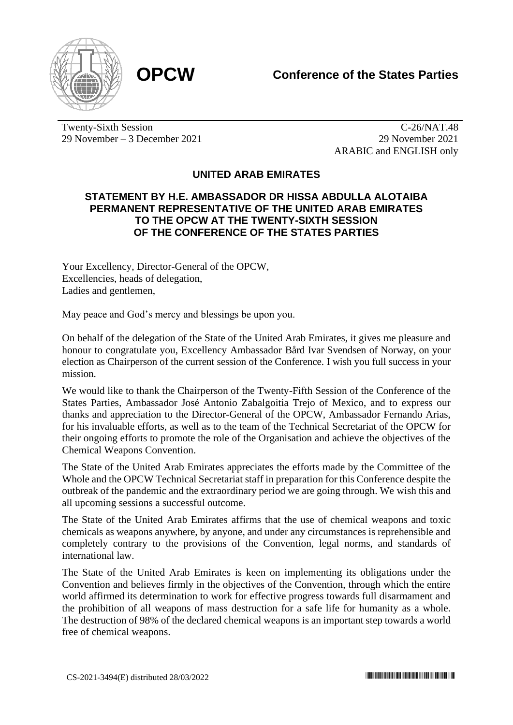

Twenty-Sixth Session 29 November – 3 December 2021

C-26/NAT.48 29 November 2021 ARABIC and ENGLISH only

## **UNITED ARAB EMIRATES**

## **STATEMENT BY H.E. AMBASSADOR DR HISSA ABDULLA ALOTAIBA PERMANENT REPRESENTATIVE OF THE UNITED ARAB EMIRATES TO THE OPCW AT THE TWENTY-SIXTH SESSION OF THE CONFERENCE OF THE STATES PARTIES**

Your Excellency, Director-General of the OPCW, Excellencies, heads of delegation, Ladies and gentlemen,

May peace and God's mercy and blessings be upon you.

On behalf of the delegation of the State of the United Arab Emirates, it gives me pleasure and honour to congratulate you, Excellency Ambassador Bård Ivar Svendsen of Norway, on your election as Chairperson of the current session of the Conference. I wish you full success in your mission.

We would like to thank the Chairperson of the Twenty-Fifth Session of the Conference of the States Parties, Ambassador José Antonio Zabalgoitia Trejo of Mexico, and to express our thanks and appreciation to the Director-General of the OPCW, Ambassador Fernando Arias, for his invaluable efforts, as well as to the team of the Technical Secretariat of the OPCW for their ongoing efforts to promote the role of the Organisation and achieve the objectives of the Chemical Weapons Convention.

The State of the United Arab Emirates appreciates the efforts made by the Committee of the Whole and the OPCW Technical Secretariat staff in preparation for this Conference despite the outbreak of the pandemic and the extraordinary period we are going through. We wish this and all upcoming sessions a successful outcome.

The State of the United Arab Emirates affirms that the use of chemical weapons and toxic chemicals as weapons anywhere, by anyone, and under any circumstances is reprehensible and completely contrary to the provisions of the Convention, legal norms, and standards of international law.

The State of the United Arab Emirates is keen on implementing its obligations under the Convention and believes firmly in the objectives of the Convention, through which the entire world affirmed its determination to work for effective progress towards full disarmament and the prohibition of all weapons of mass destruction for a safe life for humanity as a whole. The destruction of 98% of the declared chemical weapons is an important step towards a world free of chemical weapons.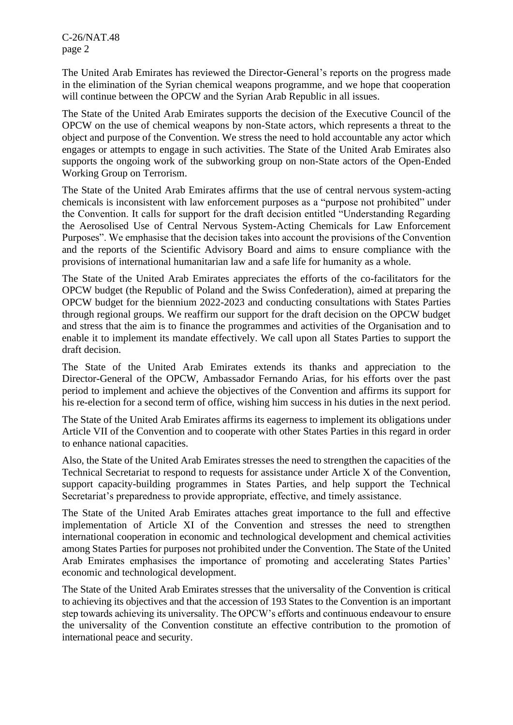C-26/NAT.48 page 2

The United Arab Emirates has reviewed the Director-General's reports on the progress made in the elimination of the Syrian chemical weapons programme, and we hope that cooperation will continue between the OPCW and the Syrian Arab Republic in all issues.

The State of the United Arab Emirates supports the decision of the Executive Council of the OPCW on the use of chemical weapons by non-State actors, which represents a threat to the object and purpose of the Convention. We stress the need to hold accountable any actor which engages or attempts to engage in such activities. The State of the United Arab Emirates also supports the ongoing work of the subworking group on non-State actors of the Open-Ended Working Group on Terrorism.

The State of the United Arab Emirates affirms that the use of central nervous system-acting chemicals is inconsistent with law enforcement purposes as a "purpose not prohibited" under the Convention. It calls for support for the draft decision entitled "Understanding Regarding the Aerosolised Use of Central Nervous System-Acting Chemicals for Law Enforcement Purposes". We emphasise that the decision takes into account the provisions of the Convention and the reports of the Scientific Advisory Board and aims to ensure compliance with the provisions of international humanitarian law and a safe life for humanity as a whole.

The State of the United Arab Emirates appreciates the efforts of the co-facilitators for the OPCW budget (the Republic of Poland and the Swiss Confederation), aimed at preparing the OPCW budget for the biennium 2022-2023 and conducting consultations with States Parties through regional groups. We reaffirm our support for the draft decision on the OPCW budget and stress that the aim is to finance the programmes and activities of the Organisation and to enable it to implement its mandate effectively. We call upon all States Parties to support the draft decision.

The State of the United Arab Emirates extends its thanks and appreciation to the Director-General of the OPCW, Ambassador Fernando Arias, for his efforts over the past period to implement and achieve the objectives of the Convention and affirms its support for his re-election for a second term of office, wishing him success in his duties in the next period.

The State of the United Arab Emirates affirms its eagerness to implement its obligations under Article VII of the Convention and to cooperate with other States Parties in this regard in order to enhance national capacities.

Also, the State of the United Arab Emirates stresses the need to strengthen the capacities of the Technical Secretariat to respond to requests for assistance under Article X of the Convention, support capacity-building programmes in States Parties, and help support the Technical Secretariat's preparedness to provide appropriate, effective, and timely assistance.

The State of the United Arab Emirates attaches great importance to the full and effective implementation of Article XI of the Convention and stresses the need to strengthen international cooperation in economic and technological development and chemical activities among States Parties for purposes not prohibited under the Convention. The State of the United Arab Emirates emphasises the importance of promoting and accelerating States Parties' economic and technological development.

The State of the United Arab Emirates stresses that the universality of the Convention is critical to achieving its objectives and that the accession of 193 States to the Convention is an important step towards achieving its universality. The OPCW's efforts and continuous endeavour to ensure the universality of the Convention constitute an effective contribution to the promotion of international peace and security.